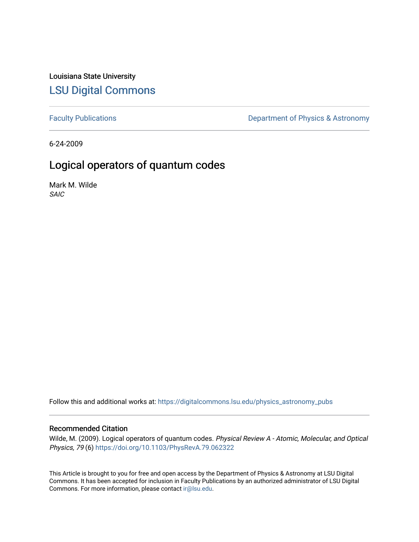Louisiana State University [LSU Digital Commons](https://digitalcommons.lsu.edu/)

[Faculty Publications](https://digitalcommons.lsu.edu/physics_astronomy_pubs) **Exercise 2** Constant Department of Physics & Astronomy

6-24-2009

# Logical operators of quantum codes

Mark M. Wilde SAIC

Follow this and additional works at: [https://digitalcommons.lsu.edu/physics\\_astronomy\\_pubs](https://digitalcommons.lsu.edu/physics_astronomy_pubs?utm_source=digitalcommons.lsu.edu%2Fphysics_astronomy_pubs%2F5771&utm_medium=PDF&utm_campaign=PDFCoverPages) 

# Recommended Citation

Wilde, M. (2009). Logical operators of quantum codes. Physical Review A - Atomic, Molecular, and Optical Physics, 79 (6) <https://doi.org/10.1103/PhysRevA.79.062322>

This Article is brought to you for free and open access by the Department of Physics & Astronomy at LSU Digital Commons. It has been accepted for inclusion in Faculty Publications by an authorized administrator of LSU Digital Commons. For more information, please contact [ir@lsu.edu](mailto:ir@lsu.edu).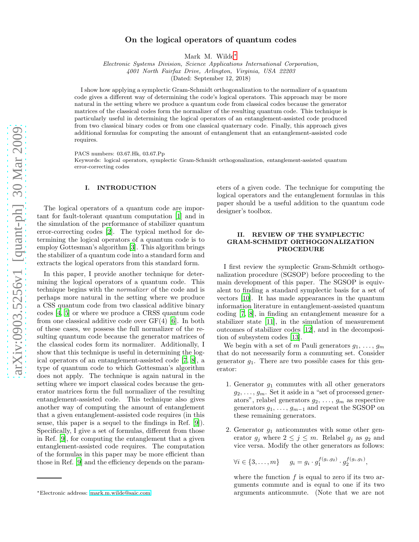# On the logical operators of quantum codes

Mark M. Wilde[∗](#page-1-0)

*Electronic Systems Division, Science Applications International Corporation, 4001 North Fairfax Drive, Arlington, Virginia, USA 22203*

(Dated: September 12, 2018)

I show how applying a symplectic Gram-Schmidt orthogonalization to the normalizer of a quantum code gives a different way of determining the code's logical operators. This approach may be more natural in the setting where we produce a quantum code from classical codes because the generator matrices of the classical codes form the normalizer of the resulting quantum code. This technique is particularly useful in determining the logical operators of an entanglement-assisted code produced from two classical binary codes or from one classical quaternary code. Finally, this approach gives additional formulas for computing the amount of entanglement that an entanglement-assisted code requires.

PACS numbers: 03.67.Hk, 03.67.Pp

Keywords: logical operators, symplectic Gram-Schmidt orthogonalization, entanglement-assisted quantum error-correcting codes

## I. INTRODUCTION

The logical operators of a quantum code are important for fault-tolerant quantum computation [\[1\]](#page-5-0) and in the simulation of the performance of stabilizer quantum error-correcting codes [\[2](#page-5-1)]. The typical method for determining the logical operators of a quantum code is to employ Gottesman's algorithm [\[3\]](#page-5-2). This algorithm brings the stabilizer of a quantum code into a standard form and extracts the logical operators from this standard form.

In this paper, I provide another technique for determining the logical operators of a quantum code. This technique begins with the normalizer of the code and is perhaps more natural in the setting where we produce a CSS quantum code from two classical additive binary codes [\[4,](#page-5-3) [5\]](#page-5-4) or where we produce a CRSS quantum code from one classical additive code over GF(4) [\[6\]](#page-5-5). In both of these cases, we possess the full normalizer of the resulting quantum code because the generator matrices of the classical codes form its normalizer. Additionally, I show that this technique is useful in determining the logical operators of an entanglement-assisted code [\[7](#page-5-6), [8\]](#page-5-7), a type of quantum code to which Gottesman's algorithm does not apply. The technique is again natural in the setting where we import classical codes because the generator matrices form the full normalizer of the resulting entanglement-assisted code. This technique also gives another way of computing the amount of entanglement that a given entanglement-assisted code requires (in this sense, this paper is a sequel to the findings in Ref. [\[9\]](#page-5-8)). Specifically, I give a set of formulas, different from those in Ref. [\[9](#page-5-8)], for computing the entanglement that a given entanglement-assisted code requires. The computation of the formulas in this paper may be more efficient than those in Ref. [\[9](#page-5-8)] and the efficiency depends on the param-

eters of a given code. The technique for computing the logical operators and the entanglement formulas in this paper should be a useful addition to the quantum code designer's toolbox.

# II. REVIEW OF THE SYMPLECTIC GRAM-SCHMIDT ORTHOGONALIZATION PROCEDURE

I first review the symplectic Gram-Schmidt orthogonalization procedure (SGSOP) before proceeding to the main development of this paper. The SGSOP is equivalent to finding a standard symplectic basis for a set of vectors [\[10\]](#page-5-9). It has made appearances in the quantum information literature in entanglement-assisted quantum coding [\[7](#page-5-6), [8](#page-5-7)], in finding an entanglement measure for a stabilizer state [\[11\]](#page-5-10), in the simulation of measurement outcomes of stabilizer codes [\[12\]](#page-5-11), and in the decomposition of subsystem codes [\[13\]](#page-5-12).

We begin with a set of m Pauli generators  $g_1, \ldots, g_m$ that do not necessarily form a commuting set. Consider generator  $g_1$ . There are two possible cases for this generator:

- 1. Generator  $q_1$  commutes with all other generators  $g_2, \ldots, g_m$ . Set it aside in a "set of processed generators", relabel generators  $g_2, \ldots, g_m$  as respective generators  $g_1, \ldots, g_{m-1}$  and repeat the SGSOP on these remaining generators.
- 2. Generator  $g_1$  anticommutes with some other generator  $g_j$  where  $2 \leq j \leq m$ . Relabel  $g_j$  as  $g_2$  and vice versa. Modify the other generators as follows:

 $\forall i \in \{3, \ldots, m\} \quad g_i = g_i \cdot g_1^{f(g_i, g_2)} \cdot g_2^{f(g_i, g_1)},$ 

where the function  $f$  is equal to zero if its two arguments commute and is equal to one if its two arguments anticommute. (Note that we are not

<span id="page-1-0"></span><sup>∗</sup>Electronic address: [mark.m.wilde@saic.com](mailto:mark.m.wilde@saic.com)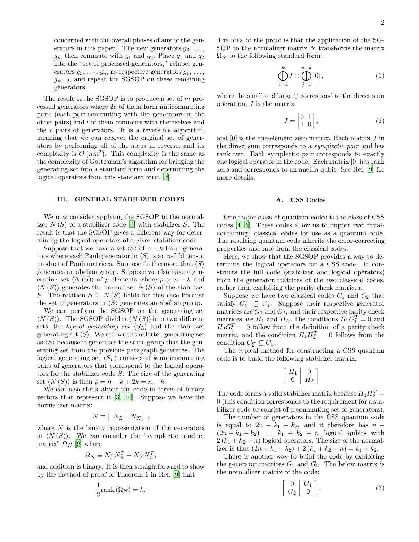concerned with the overall phases of any of the generators in this paper.) The new generators  $g_3, \ldots,$  $g_m$  then commute with  $g_1$  and  $g_2$ . Place  $g_1$  and  $g_2$ into the "set of processed generators," relabel generators  $g_3, \ldots, g_m$  as respective generators  $g_1, \ldots,$  $g_{m-2}$ , and repeat the SGSOP on these remaining generators.

The result of the SGSOP is to produce a set of m processed generators where 2c of them form anticommuting pairs (each pair commuting with the generators in the other pairs) and l of them commute with themselves and the  $c$  pairs of generators. It is a reversible algorithm, meaning that we can recover the original set of generators by performing all of the steps in reverse, and its complexity is  $O(nm^2)$ . This complexity is the same as the complexity of Gottesman's algorithm for bringing the generating set into a standard form and determining the logical operators from this standard form [\[3\]](#page-5-2).

# III. GENERAL STABILIZER CODES

We now consider applying the SGSOP to the normalizer  $N(S)$  of a stabilizer code [\[3\]](#page-5-2) with stabilizer S. The result is that the SGSOP gives a different way for determining the logical operators of a given stabilizer code.

Suppose that we have a set  $\langle S \rangle$  of  $n - k$  Pauli generators where each Pauli generator in  $\langle S \rangle$  is an *n*-fold tensor product of Pauli matrices. Suppose furthermore that  $\langle S \rangle$ generates an abelian group. Suppose we also have a generating set  $\langle N(S) \rangle$  of p elements where  $p > n - k$  and  $\langle N(S) \rangle$  generates the normalizer  $N(S)$  of the stabilizer S. The relation  $S \subseteq N(S)$  holds for this case because the set of generators in  $\langle S \rangle$  generates an abelian group.

We can perform the SGSOP on the generating set  $\langle N(S) \rangle$ . The SGSOP divides  $\langle N(S) \rangle$  into two different sets: the *logical generating set*  $\langle S_L \rangle$  and the stabilizer generating set  $\langle S \rangle$ . We can write the latter generating set as  $\langle S \rangle$  because it generates the same group that the generating set from the previous paragraph generates. The logical generating set  $\langle S_L \rangle$  consists of k anticommuting pairs of generators that correspond to the logical operators for the stabilizer code S. The size of the generating set  $\langle N(S) \rangle$  is then  $p = n - k + 2k = n + k$ .

We can also think about the code in terms of binary vectors that represent it [\[3,](#page-5-2) [14\]](#page-5-13). Suppose we have the normalizer matrix:

$$
N \equiv \left[ \begin{array}{c|c} N_Z & N_X \end{array} \right],
$$

where  $N$  is the binary representation of the generators in  $\langle N(S) \rangle$ . We can consider the "symplectic product" matrix"  $\Omega_N$  [\[9](#page-5-8)] where

$$
\Omega_N \equiv N_Z N_X^T + N_X N_Z^T,
$$

and addition is binary. It is then straightforward to show by the method of proof of Theorem 1 in Ref. [\[9\]](#page-5-8) that

$$
\frac{1}{2}\text{rank}\left(\Omega_N\right) = k.
$$

The idea of the proof is that the application of the SG-SOP to the normalizer matrix  $N$  transforms the matrix  $\Omega_N$  to the following standard form:

$$
\bigoplus_{i=1}^{k} J \oplus \bigoplus_{j=1}^{n-k} [0],\tag{1}
$$

where the small and large  $oplus$  correspond to the direct sum operation, J is the matrix

$$
J = \begin{bmatrix} 0 & 1 \\ 1 & 0 \end{bmatrix},\tag{2}
$$

and  $[0]$  is the one-element zero matrix. Each matrix  $J$  in the direct sum corresponds to a symplectic pair and has rank two. Each symplectic pair corresponds to exactly one logical operator in the code. Each matrix [0] has rank zero and corresponds to an ancilla qubit. See Ref. [\[9](#page-5-8)] for more details.

#### A. CSS Codes

One major class of quantum codes is the class of CSS codes [\[4,](#page-5-3) [5](#page-5-4)]. These codes allow us to import two "dualcontaining" classical codes for use as a quantum code. The resulting quantum code inherits the error-correcting properties and rate from the classical codes.

Here, we show that the SGSOP provides a way to determine the logical operators for a CSS code. It constructs the full code (stabilizer and logical operators) from the generator matrices of the two classical codes, rather than exploiting the parity check matrices.

Suppose we have two classical codes  $C_1$  and  $C_2$  that satisfy  $C_2^{\perp} \subseteq C_1$ . Suppose their respective generator matrices are  $G_1$  and  $G_2$ , and their respective parity check matrices are  $H_1$  and  $H_2$ . The conditions  $H_1G_1^T = 0$  and  $H_2G_2^T=0$  follow from the definition of a parity check matrix, and the condition  $H_1 H_2^T = 0$  follows from the condition  $C_2^{\perp} \subseteq C_1$ .

The typical method for constructing a CSS quantum code is to build the following stabilizer matrix:

$$
\left[\begin{array}{c|c} H_1 & 0 \\ 0 & H_2 \end{array}\right]
$$

The code forms a valid stabilizer matrix because  $H_1 H_2^T =$ 0 (this condition corresponds to the requirement for a stabilizer code to consist of a commuting set of generators).

The number of generators in the CSS quantum code is equal to  $2n - k_1 - k_2$ , and it therefore has  $n (2n - k_1 - k_2) = k_1 + k_2 - n$  logical qubits with  $2(k_1 + k_2 - n)$  logical operators. The size of the normalizer is thus  $(2n - k_1 - k_2) + 2(k_1 + k_2 - n) = k_1 + k_2$ .

There is another way to build the code by exploiting the generator matrices  $G_1$  and  $G_2$ . The below matrix is the normalizer matrix of the code:

<span id="page-2-0"></span>
$$
\left[\begin{array}{c|c} 0 & G_1 \\ G_2 & 0 \end{array}\right]. \tag{3}
$$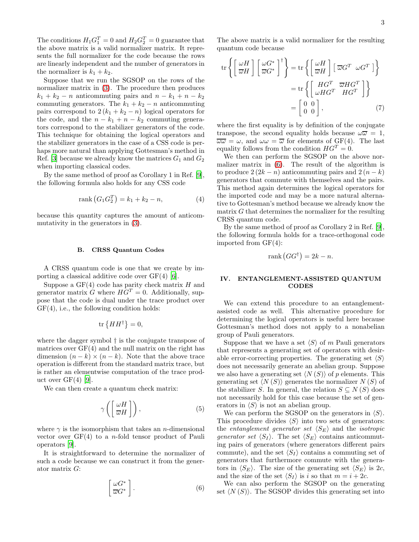The conditions  $H_1 G_1^T = 0$  and  $H_2 G_2^T = 0$  guarantee that the above matrix is a valid normalizer matrix. It represents the full normalizer for the code because the rows are linearly independent and the number of generators in the normalizer is  $k_1 + k_2$ .

Suppose that we run the SGSOP on the rows of the normalizer matrix in [\(3\)](#page-2-0). The procedure then produces  $k_1 + k_2 - n$  anticommuting pairs and  $n - k_1 + n - k_2$ commuting generators. The  $k_1 + k_2 - n$  anticommuting pairs correspond to  $2(k_1 + k_2 - n)$  logical operators for the code, and the  $n - k_1 + n - k_2$  commuting generators correspond to the stabilizer generators of the code. This technique for obtaining the logical operators and the stabilizer generators in the case of a CSS code is perhaps more natural than applying Gottesman's method in Ref. [\[3\]](#page-5-2) because we already know the matrices  $G_1$  and  $G_2$ when importing classical codes.

By the same method of proof as Corollary 1 in Ref. [\[9\]](#page-5-8), the following formula also holds for any CSS code

$$
rank (G_1 G_2^T) = k_1 + k_2 - n,
$$
\n(4)

because this quantity captures the amount of anticommutativity in the generators in [\(3\)](#page-2-0).

#### B. CRSS Quantum Codes

A CRSS quantum code is one that we create by importing a classical additive code over GF(4) [\[6](#page-5-5)].

Suppose a  $GF(4)$  code has parity check matrix  $H$  and generator matrix  $G$  where  $HG^T = 0$ . Additionally, suppose that the code is dual under the trace product over GF(4), i.e., the following condition holds:

$$
\text{tr}\left\{HH^{\dagger}\right\}=0,
$$

where the dagger symbol † is the conjugate transpose of matrices over GF(4) and the null matrix on the right has dimension  $(n - k) \times (n - k)$ . Note that the above trace operation is different from the standard matrix trace, but is rather an elementwise computation of the trace product over  $GF(4)$  [\[9\]](#page-5-8).

We can then create a quantum check matrix:

<span id="page-3-2"></span>
$$
\gamma\left(\left[\frac{\omega H}{\overline{\omega}H}\right]\right),\tag{5}
$$

where  $\gamma$  is the isomorphism that takes an *n*-dimensional vector over  $GF(4)$  to a *n*-fold tensor product of Pauli operators [\[9\]](#page-5-8).

It is straightforward to determine the normalizer of such a code because we can construct it from the generator matrix G:

<span id="page-3-0"></span>
$$
\left[\begin{array}{c}\omega G^*\\ \overline{\omega}G^*\end{array}\right].\tag{6}
$$

The above matrix is a valid normalizer for the resulting quantum code because

$$
\operatorname{tr}\left\{ \left[ \frac{\omega H}{\overline{\omega}H} \right] \left[ \frac{\omega G^*}{\overline{\omega}G^*} \right]^\dagger \right\} = \operatorname{tr}\left\{ \left[ \frac{\omega H}{\overline{\omega}H} \right] \left[ \overline{\omega}G^T \omega G^T \right] \right\} \n= \operatorname{tr}\left\{ \left[ \frac{H G^T}{\omega H G^T} \overline{H G^T} \right] \right\} \n= \left[ \begin{array}{cc} 0 & 0 \\ 0 & 0 \end{array} \right],\n\tag{7}
$$

<span id="page-3-3"></span>where the first equality is by definition of the conjugate transpose, the second equality holds because  $\omega \overline{\omega} = 1$ ,  $\overline{\omega\omega} = \omega$ , and  $\omega\omega = \overline{\omega}$  for elements of GF(4). The last equality follows from the condition  $HG^T = 0$ .

We then can perform the SGSOP on the above normalizer matrix in [\(6\)](#page-3-0). The result of the algorithm is to produce  $2(2k - n)$  anticommuting pairs and  $2(n - k)$ generators that commute with themselves and the pairs. This method again determines the logical operators for the imported code and may be a more natural alternative to Gottesman's method because we already know the matrix  $G$  that determines the normalizer for the resulting CRSS quantum code.

By the same method of proof as Corollary 2 in Ref. [\[9\]](#page-5-8), the following formula holds for a trace-orthogonal code imported from GF(4):

$$
rank(GG^{\dagger}) = 2k - n.
$$

# <span id="page-3-1"></span>IV. ENTANGLEMENT-ASSISTED QUANTUM **CODES**

We can extend this procedure to an entanglementassisted code as well. This alternative procedure for determining the logical operators is useful here because Gottesman's method does not apply to a nonabelian group of Pauli generators.

Suppose that we have a set  $\langle S \rangle$  of m Pauli generators that represents a generating set of operators with desirable error-correcting properties. The generating set  $\langle S \rangle$ does not necessarily generate an abelian group. Suppose we also have a generating set  $\langle N(S) \rangle$  of p elements. This generating set  $\langle N(S) \rangle$  generates the normalizer  $N(S)$  of the stabilizer S. In general, the relation  $S \subseteq N(S)$  does not necessarily hold for this case because the set of generators in  $\langle S \rangle$  is not an abelian group.

We can perform the SGSOP on the generators in  $\langle S \rangle$ . This procedure divides  $\langle S \rangle$  into two sets of generators: the entanglement generator set  $\langle S_E \rangle$  and the *isotropic* generator set  $\langle S_I \rangle$ . The set  $\langle S_E \rangle$  contains anticommuting pairs of generators (where generators different pairs commute), and the set  $\langle S_I \rangle$  contains a commuting set of generators that furthermore commute with the generators in  $\langle S_E \rangle$ . The size of the generating set  $\langle S_E \rangle$  is 2c, and the size of the set  $\langle S_I \rangle$  is i so that  $m = i + 2c$ .

We can also perform the SGSOP on the generating set  $\langle N(S) \rangle$ . The SGSOP divides this generating set into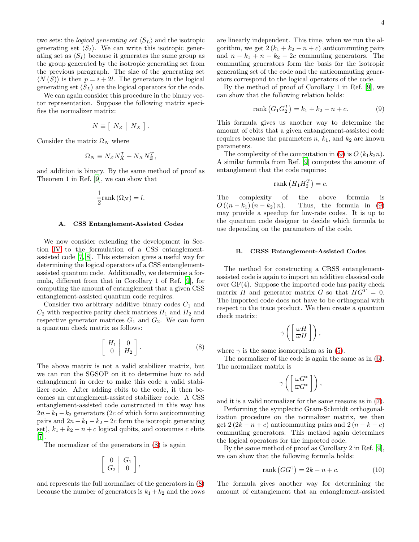two sets: the *logical generating set*  $\langle S_L \rangle$  and the isotropic generating set  $\langle S_I \rangle$ . We can write this isotropic generating set as  $\langle S_I \rangle$  because it generates the same group as the group generated by the isotropic generating set from the previous paragraph. The size of the generating set  $\langle N(S) \rangle$  is then  $p = i + 2l$ . The generators in the logical generating set  $\langle S_L \rangle$  are the logical operators for the code.

We can again consider this procedure in the binary vector representation. Suppose the following matrix specifies the normalizer matrix:

$$
N \equiv [ N_Z | N_X ].
$$

Consider the matrix  $\Omega_N$  where

$$
\Omega_N \equiv N_Z N_X^T + N_X N_Z^T,
$$

and addition is binary. By the same method of proof as Theorem 1 in Ref. [\[9\]](#page-5-8), we can show that

$$
\frac{1}{2}\text{rank}\left(\Omega_N\right) = l.
$$

#### A. CSS Entanglement-Assisted Codes

We now consider extending the development in Section [IV](#page-3-1) to the formulation of a CSS entanglementassisted code [\[7,](#page-5-6) [8](#page-5-7)]. This extension gives a useful way for determining the logical operators of a CSS entanglementassisted quantum code. Additionally, we determine a formula, different from that in Corollary 1 of Ref. [\[9](#page-5-8)], for computing the amount of entanglement that a given CSS entanglement-assisted quantum code requires.

Consider two arbitrary additive binary codes  $C_1$  and  $C_2$  with respective parity check matrices  $H_1$  and  $H_2$  and respective generator matrices  $G_1$  and  $G_2$ . We can form a quantum check matrix as follows:

<span id="page-4-0"></span>
$$
\left[\begin{array}{c|c} H_1 & 0 \\ 0 & H_2 \end{array}\right]. \tag{8}
$$

The above matrix is not a valid stabilizer matrix, but we can run the SGSOP on it to determine how to add entanglement in order to make this code a valid stabilizer code. After adding ebits to the code, it then becomes an entanglement-assisted stabilizer code. A CSS entanglement-assisted code constructed in this way has  $2n-k_1-k_2$  generators (2c of which form anticommuting pairs and  $2n - k_1 - k_2 - 2c$  form the isotropic generating set),  $k_1 + k_2 - n + c$  logical qubits, and consumes c ebits [\[7\]](#page-5-6).

The normalizer of the generators in [\(8\)](#page-4-0) is again

$$
\left[\begin{array}{c|c} 0 & G_1 \\ G_2 & 0 \end{array}\right],
$$

and represents the full normalizer of the generators in [\(8\)](#page-4-0) because the number of generators is  $k_1 + k_2$  and the rows are linearly independent. This time, when we run the algorithm, we get  $2(k_1 + k_2 - n + c)$  anticommuting pairs and  $n - k_1 + n - k_2 - 2c$  commuting generators. The commuting generators form the basis for the isotropic generating set of the code and the anticommuting generators correspond to the logical operators of the code.

By the method of proof of Corollary 1 in Ref. [\[9](#page-5-8)], we can show that the following relation holds:

<span id="page-4-1"></span>
$$
rank(G_1G_2^T) = k_1 + k_2 - n + c.
$$
 (9)

This formula gives us another way to determine the amount of ebits that a given entanglement-assisted code requires because the parameters  $n, k_1$ , and  $k_2$  are known parameters.

The complexity of the computation in [\(9\)](#page-4-1) is  $O(k_1k_2n)$ . A similar formula from Ref. [\[9\]](#page-5-8) computes the amount of entanglement that the code requires:

$$
rank(H_1H_2^T)=c.
$$

The complexity of the above formula is  $O((n-k_1)(n-k_2)n)$ . Thus, the formula in [\(9\)](#page-4-1) may provide a speedup for low-rate codes. It is up to the quantum code designer to decide which formula to use depending on the parameters of the code.

## B. CRSS Entanglement-Assisted Codes

The method for constructing a CRSS entanglementassisted code is again to import an additive classical code over GF(4). Suppose the imported code has parity check matrix H and generator matrix G so that  $HG^T = 0$ . The imported code does not have to be orthogonal with respect to the trace product. We then create a quantum check matrix:

$$
\gamma\left(\left[\frac{\omega H}{\overline{\omega}H}\right]\right),\
$$

where  $\gamma$  is the same isomorphism as in [\(5\)](#page-3-2).

The normalizer of the code is again the same as in [\(6\)](#page-3-0). The normalizer matrix is

$$
\gamma\left(\left[\frac{\omega G^*}{\overline{\omega}G^*}\right]\right),\right
$$

and it is a valid normalizer for the same reasons as in [\(7\)](#page-3-3).

Performing the symplectic Gram-Schmidt orthogonalization procedure on the normalizer matrix, we then get  $2(2k - n + c)$  anticommuting pairs and  $2(n - k - c)$ commuting generators. This method again determines the logical operators for the imported code.

By the same method of proof as Corollary 2 in Ref. [\[9\]](#page-5-8), we can show that the following formula holds:

<span id="page-4-2"></span>
$$
rank(GG^{\dagger}) = 2k - n + c.
$$
 (10)

The formula gives another way for determining the amount of entanglement that an entanglement-assisted